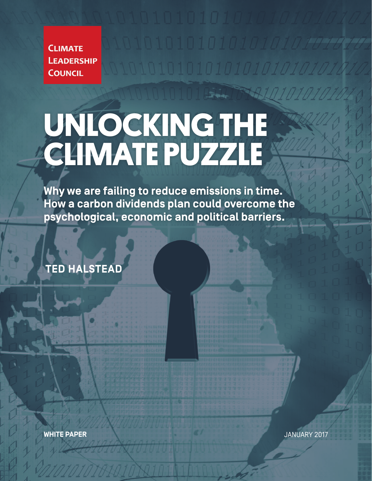**CLIMATE LEADERSHIP COUNCIL** 

# **UNLOCKING THE CLIMATE PUZZLE**

**Why we are failing to reduce emissions in time. How a carbon dividends plan could overcome the psychological, economic and political barriers.**

**TED HALSTEAD**

**WHITE PAPER** JANUARY 2017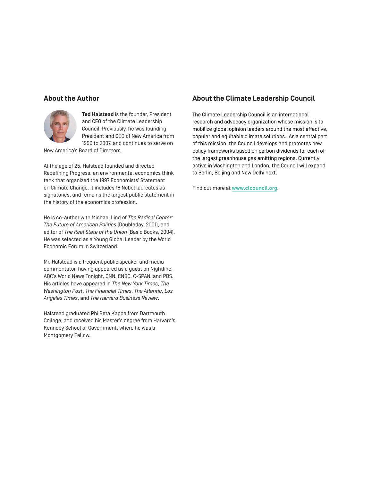#### **About the Author**



**Ted Halstead** is the founder, President and CEO of the Climate Leadership Council. Previously, he was founding President and CEO of New America from 1999 to 2007, and continues to serve on

New America's Board of Directors.

At the age of 25, Halstead founded and directed Redefining Progress, an environmental economics think tank that organized the 1997 Economists' Statement on Climate Change. It includes 18 Nobel laureates as signatories, and remains the largest public statement in the history of the economics profession.

He is co-author with Michael Lind of *The Radical Center: The Future of American Politics* (Doubleday, 2001), and editor of *The Real State of the Union* (Basic Books, 2004). He was selected as a Young Global Leader by the World Economic Forum in Switzerland.

Mr. Halstead is a frequent public speaker and media commentator, having appeared as a guest on Nightline, ABC's World News Tonight, CNN, CNBC, C-SPAN, and PBS. His articles have appeared in *The New York Times*, *The Washington Post*, *The Financial Times*, *The Atlantic*, *Los Angeles Times*, and *The Harvard Business Review*.

Halstead graduated Phi Beta Kappa from Dartmouth College, and received his Master's degree from Harvard's Kennedy School of Government, where he was a Montgomery Fellow.

#### **About the Climate Leadership Council**

The Climate Leadership Council is an international research and advocacy organization whose mission is to mobilize global opinion leaders around the most effective, popular and equitable climate solutions. As a central part of this mission, the Council develops and promotes new policy frameworks based on carbon dividends for each of the largest greenhouse gas emitting regions. Currently active in Washington and London, the Council will expand to Berlin, Beijing and New Delhi next.

Find out more at **www.clcouncil.org**.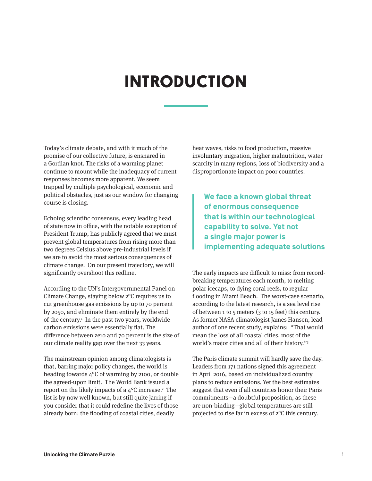# **INTRODUCTION**

Today's climate debate, and with it much of the promise of our collective future, is ensnared in a Gordian knot. The risks of a warming planet continue to mount while the inadequacy of current responses becomes more apparent. We seem trapped by multiple psychological, economic and political obstacles, just as our window for changing course is closing.

Echoing scientific consensus, every leading head of state now in office, with the notable exception of President Trump, has publicly agreed that we must prevent global temperatures from rising more than two degrees Celsius above pre-industrial levels if we are to avoid the most serious consequences of climate change. On our present trajectory, we will significantly overshoot this redline.

According to the UN's Intergovernmental Panel on Climate Change, staying below 2°C requires us to cut greenhouse gas emissions by up to 70 percent by 2050, and eliminate them entirely by the end of the century.<sup>1</sup> In the past two years, worldwide carbon emissions were essentially flat. The difference between zero and 70 percent is the size of our climate reality gap over the next 33 years.

The mainstream opinion among climatologists is that, barring major policy changes, the world is heading towards 4°C of warming by 2100, or double the agreed-upon limit. The World Bank issued a report on the likely impacts of a  $4^{\circ}$ C increase. $^2$  The list is by now well known, but still quite jarring if you consider that it could redefine the lives of those already born: the flooding of coastal cities, deadly

heat waves, risks to food production, massive involuntary migration, higher malnutrition, water scarcity in many regions, loss of biodiversity and a disproportionate impact on poor countries.

**We face a known global threat of enormous consequence that is within our technological capability to solve. Yet not a single major power is implementing adequate solutions**

The early impacts are difficult to miss: from recordbreaking temperatures each month, to melting polar icecaps, to dying coral reefs, to regular flooding in Miami Beach. The worst-case scenario, according to the latest research, is a sea level rise of between 1 to 5 meters (3 to 15 feet) this century. As former NASA climatologist James Hansen, lead author of one recent study, explains: "That would mean the loss of all coastal cities, most of the world's major cities and all of their history."3

The Paris climate summit will hardly save the day. Leaders from 171 nations signed this agreement in April 2016, based on individualized country plans to reduce emissions. Yet the best estimates suggest that even if all countries honor their Paris commitments—a doubtful proposition, as these are non-binding—global temperatures are still projected to rise far in excess of 2°C this century.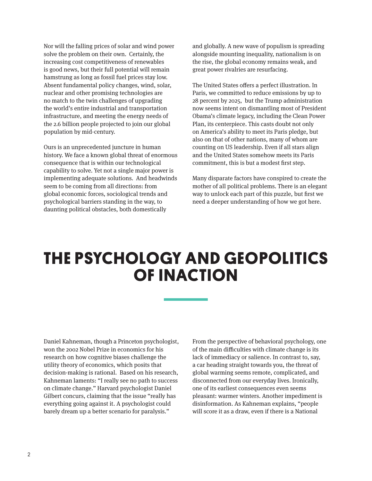Nor will the falling prices of solar and wind power solve the problem on their own. Certainly, the increasing cost competitiveness of renewables is good news, but their full potential will remain hamstrung as long as fossil fuel prices stay low. Absent fundamental policy changes, wind, solar, nuclear and other promising technologies are no match to the twin challenges of upgrading the world's entire industrial and transportation infrastructure, and meeting the energy needs of the 2.6 billion people projected to join our global population by mid-century.

Ours is an unprecedented juncture in human history. We face a known global threat of enormous consequence that is within our technological capability to solve. Yet not a single major power is implementing adequate solutions. And headwinds seem to be coming from all directions: from global economic forces, sociological trends and psychological barriers standing in the way, to daunting political obstacles, both domestically

and globally. A new wave of populism is spreading alongside mounting inequality, nationalism is on the rise, the global economy remains weak, and great power rivalries are resurfacing.

The United States offers a perfect illustration. In Paris, we committed to reduce emissions by up to 28 percent by 2025, but the Trump administration now seems intent on dismantling most of President Obama's climate legacy, including the Clean Power Plan, its centerpiece. This casts doubt not only on America's ability to meet its Paris pledge, but also on that of other nations, many of whom are counting on US leadership. Even if all stars align and the United States somehow meets its Paris commitment, this is but a modest first step.

Many disparate factors have conspired to create the mother of all political problems. There is an elegant way to unlock each part of this puzzle, but first we need a deeper understanding of how we got here.

### **THE PSYCHOLOGY AND GEOPOLITICS OF INACTION**

Daniel Kahneman, though a Princeton psychologist, won the 2002 Nobel Prize in economics for his research on how cognitive biases challenge the utility theory of economics, which posits that decision-making is rational. Based on his research, Kahneman laments: "I really see no path to success on climate change." Harvard psychologist Daniel Gilbert concurs, claiming that the issue "really has everything going against it. A psychologist could barely dream up a better scenario for paralysis."

From the perspective of behavioral psychology, one of the main difficulties with climate change is its lack of immediacy or salience. In contrast to, say, a car heading straight towards you, the threat of global warming seems remote, complicated, and disconnected from our everyday lives. Ironically, one of its earliest consequences even seems pleasant: warmer winters. Another impediment is disinformation. As Kahneman explains, "people will score it as a draw, even if there is a National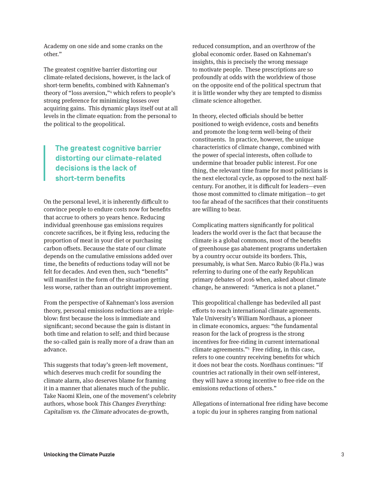Academy on one side and some cranks on the other."

The greatest cognitive barrier distorting our climate-related decisions, however, is the lack of short-term benefits, combined with Kahneman's theory of "loss aversion,"4 which refers to people's strong preference for minimizing losses over acquiring gains. This dynamic plays itself out at all levels in the climate equation: from the personal to the political to the geopolitical.

### **The greatest cognitive barrier distorting our climate-related decisions is the lack of short-term benefits**

On the personal level, it is inherently difficult to convince people to endure costs now for benefits that accrue to others 30 years hence. Reducing individual greenhouse gas emissions requires concrete sacrifices, be it flying less, reducing the proportion of meat in your diet or purchasing carbon offsets. Because the state of our climate depends on the cumulative emissions added over time, the benefits of reductions today will not be felt for decades. And even then, such "benefits" will manifest in the form of the situation getting less worse, rather than an outright improvement.

From the perspective of Kahneman's loss aversion theory, personal emissions reductions are a tripleblow: first because the loss is immediate and significant; second because the gain is distant in both time and relation to self; and third because the so-called gain is really more of a draw than an advance.

This suggests that today's green-left movement, which deserves much credit for sounding the climate alarm, also deserves blame for framing it in a manner that alienates much of the public. Take Naomi Klein, one of the movement's celebrity authors, whose book This Changes Everything: Capitalism vs. the Climate advocates de-growth,

reduced consumption, and an overthrow of the global economic order. Based on Kahneman's insights, this is precisely the wrong message to motivate people. These prescriptions are so profoundly at odds with the worldview of those on the opposite end of the political spectrum that it is little wonder why they are tempted to dismiss climate science altogether.

In theory, elected officials should be better positioned to weigh evidence, costs and benefits and promote the long-term well-being of their constituents. In practice, however, the unique characteristics of climate change, combined with the power of special interests, often collude to undermine that broader public interest. For one thing, the relevant time frame for most politicians is the next electoral cycle, as opposed to the next halfcentury. For another, it is difficult for leaders—even those most committed to climate mitigation—to get too far ahead of the sacrifices that their constituents are willing to bear.

Complicating matters significantly for political leaders the world over is the fact that because the climate is a global commons, most of the benefits of greenhouse gas abatement programs undertaken by a country occur outside its borders. This, presumably, is what Sen. Marco Rubio (R-Fla.) was referring to during one of the early Republican primary debates of 2016 when, asked about climate change, he answered: "America is not a planet."

This geopolitical challenge has bedeviled all past efforts to reach international climate agreements. Yale University's William Nordhaus, a pioneer in climate economics, argues: "the fundamental reason for the lack of progress is the strong incentives for free-riding in current international climate agreements."5 Free riding, in this case, refers to one country receiving benefits for which it does not bear the costs. Nordhaus continues: "If countries act rationally in their own self-interest, they will have a strong incentive to free-ride on the emissions reductions of others."

Allegations of international free riding have become a topic du jour in spheres ranging from national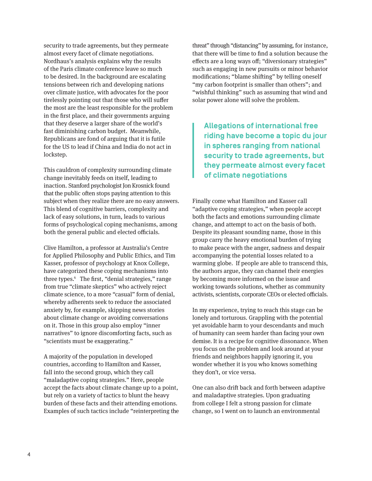security to trade agreements, but they permeate almost every facet of climate negotiations. Nordhaus's analysis explains why the results of the Paris climate conference leave so much to be desired. In the background are escalating tensions between rich and developing nations over climate justice, with advocates for the poor tirelessly pointing out that those who will suffer the most are the least responsible for the problem in the first place, and their governments arguing that they deserve a larger share of the world's fast diminishing carbon budget. Meanwhile, Republicans are fond of arguing that it is futile for the US to lead if China and India do not act in lockstep.

This cauldron of complexity surrounding climate change inevitably feeds on itself, leading to inaction. Stanford psychologist Jon Krosnick found that the public often stops paying attention to this subject when they realize there are no easy answers. This blend of cognitive barriers, complexity and lack of easy solutions, in turn, leads to various forms of psychological coping mechanisms, among both the general public and elected officials.

Clive Hamilton, a professor at Australia's Centre for Applied Philosophy and Public Ethics, and Tim Kasser, professor of psychology at Knox College, have categorized these coping mechanisms into three types.6 The first, "denial strategies," range from true "climate skeptics" who actively reject climate science, to a more "casual" form of denial, whereby adherents seek to reduce the associated anxiety by, for example, skipping news stories about climate change or avoiding conversations on it. Those in this group also employ "inner narratives" to ignore discomforting facts, such as "scientists must be exaggerating."

A majority of the population in developed countries, according to Hamilton and Kasser, fall into the second group, which they call "maladaptive coping strategies." Here, people accept the facts about climate change up to a point, but rely on a variety of tactics to blunt the heavy burden of these facts and their attending emotions. Examples of such tactics include "reinterpreting the threat" through "distancing" by assuming, for instance, that there will be time to find a solution because the effects are a long ways off; "diversionary strategies" such as engaging in new pursuits or minor behavior modifications; "blame shifting" by telling oneself "my carbon footprint is smaller than others"; and "wishful thinking" such as assuming that wind and solar power alone will solve the problem.

**Allegations of international free riding have become a topic du jour in spheres ranging from national security to trade agreements, but they permeate almost every facet of climate negotiations**

Finally come what Hamilton and Kasser call "adaptive coping strategies," when people accept both the facts and emotions surrounding climate change, and attempt to act on the basis of both. Despite its pleasant sounding name, those in this group carry the heavy emotional burden of trying to make peace with the anger, sadness and despair accompanying the potential losses related to a warming globe. If people are able to transcend this, the authors argue, they can channel their energies by becoming more informed on the issue and working towards solutions, whether as community activists, scientists, corporate CEOs or elected officials.

In my experience, trying to reach this stage can be lonely and torturous. Grappling with the potential yet avoidable harm to your descendants and much of humanity can seem harder than facing your own demise. It is a recipe for cognitive dissonance. When you focus on the problem and look around at your friends and neighbors happily ignoring it, you wonder whether it is you who knows something they don't, or vice versa.

One can also drift back and forth between adaptive and maladaptive strategies. Upon graduating from college I felt a strong passion for climate change, so I went on to launch an environmental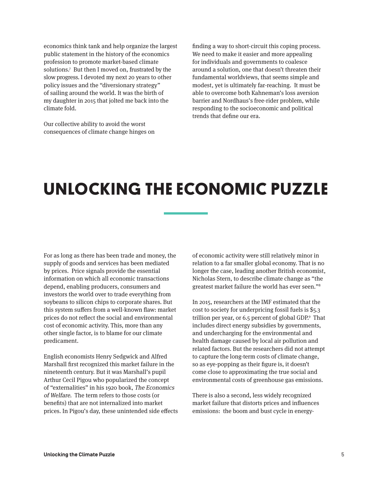economics think tank and help organize the largest public statement in the history of the economics profession to promote market-based climate solutions.7 But then I moved on, frustrated by the slow progress. I devoted my next 20 years to other policy issues and the "diversionary strategy" of sailing around the world. It was the birth of my daughter in 2015 that jolted me back into the climate fold.

Our collective ability to avoid the worst consequences of climate change hinges on

finding a way to short-circuit this coping process. We need to make it easier and more appealing for individuals and governments to coalesce around a solution, one that doesn't threaten their fundamental worldviews, that seems simple and modest, yet is ultimately far-reaching. It must be able to overcome both Kahneman's loss aversion barrier and Nordhaus's free-rider problem, while responding to the socioeconomic and political trends that define our era.

# **UNLOCKING THE ECONOMIC PUZZLE**

For as long as there has been trade and money, the supply of goods and services has been mediated by prices. Price signals provide the essential information on which all economic transactions depend, enabling producers, consumers and investors the world over to trade everything from soybeans to silicon chips to corporate shares. But this system suffers from a well-known flaw: market prices do not reflect the social and environmental cost of economic activity. This, more than any other single factor, is to blame for our climate predicament.

English economists Henry Sedgwick and Alfred Marshall first recognized this market failure in the nineteenth century. But it was Marshall's pupil Arthur Cecil Pigou who popularized the concept of "externalities" in his 1920 book, The Economics of Welfare. The term refers to those costs (or benefits) that are not internalized into market prices. In Pigou's day, these unintended side effects of economic activity were still relatively minor in relation to a far smaller global economy. That is no longer the case, leading another British economist, Nicholas Stern, to describe climate change as "the greatest market failure the world has ever seen."8

In 2015, researchers at the IMF estimated that the cost to society for underpricing fossil fuels is \$5.3 trillion per year, or 6.5 percent of global GDP.<sup>9</sup> That includes direct energy subsidies by governments, and undercharging for the environmental and health damage caused by local air pollution and related factors. But the researchers did not attempt to capture the long-term costs of climate change, so as eye-popping as their figure is, it doesn't come close to approximating the true social and environmental costs of greenhouse gas emissions.

There is also a second, less widely recognized market failure that distorts prices and influences emissions: the boom and bust cycle in energy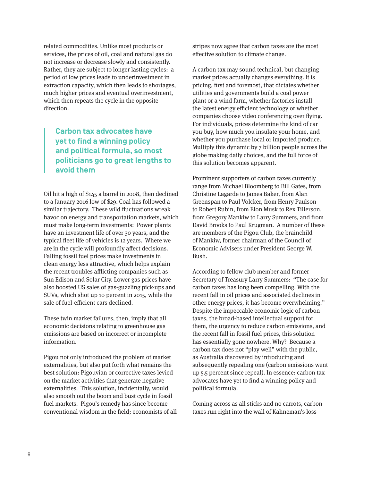related commodities. Unlike most products or services, the prices of oil, coal and natural gas do not increase or decrease slowly and consistently. Rather, they are subject to longer lasting cycles: a period of low prices leads to underinvestment in extraction capacity, which then leads to shortages, much higher prices and eventual overinvestment, which then repeats the cycle in the opposite direction.

### **Carbon tax advocates have yet to find a winning policy and political formula, so most politicians go to great lengths to avoid them**

Oil hit a high of \$145 a barrel in 2008, then declined to a January 2016 low of \$29. Coal has followed a similar trajectory. These wild fluctuations wreak havoc on energy and transportation markets, which must make long-term investments: Power plants have an investment life of over 30 years, and the typical fleet life of vehicles is 12 years. Where we are in the cycle will profoundly affect decisions. Falling fossil fuel prices make investments in clean energy less attractive, which helps explain the recent troubles afflicting companies such as Sun Edison and Solar City. Lower gas prices have also boosted US sales of gas-guzzling pick-ups and SUVs, which shot up 10 percent in 2015, while the sale of fuel-efficient cars declined.

These twin market failures, then, imply that all economic decisions relating to greenhouse gas emissions are based on incorrect or incomplete information.

Pigou not only introduced the problem of market externalities, but also put forth what remains the best solution: Pigouvian or corrective taxes levied on the market activities that generate negative externalities. This solution, incidentally, would also smooth out the boom and bust cycle in fossil fuel markets. Pigou's remedy has since become conventional wisdom in the field; economists of all stripes now agree that carbon taxes are the most effective solution to climate change.

A carbon tax may sound technical, but changing market prices actually changes everything. It is pricing, first and foremost, that dictates whether utilities and governments build a coal power plant or a wind farm, whether factories install the latest energy efficient technology or whether companies choose video conferencing over flying. For individuals, prices determine the kind of car you buy, how much you insulate your home, and whether you purchase local or imported produce. Multiply this dynamic by 7 billion people across the globe making daily choices, and the full force of this solution becomes apparent.

Prominent supporters of carbon taxes currently range from Michael Bloomberg to Bill Gates, from Christine Lagarde to James Baker, from Alan Greenspan to Paul Volcker, from Henry Paulson to Robert Rubin, from Elon Musk to Rex Tillerson, from Gregory Mankiw to Larry Summers, and from David Brooks to Paul Krugman. A number of these are members of the Pigou Club, the brainchild of Mankiw, former chairman of the Council of Economic Advisers under President George W. Bush.

According to fellow club member and former Secretary of Treasury Larry Summers: "The case for carbon taxes has long been compelling. With the recent fall in oil prices and associated declines in other energy prices, it has become overwhelming." Despite the impeccable economic logic of carbon taxes, the broad-based intellectual support for them, the urgency to reduce carbon emissions, and the recent fall in fossil fuel prices, this solution has essentially gone nowhere. Why? Because a carbon tax does not "play well" with the public, as Australia discovered by introducing and subsequently repealing one (carbon emissions went up 5.5 percent since repeal). In essence: carbon tax advocates have yet to find a winning policy and political formula.

Coming across as all sticks and no carrots, carbon taxes run right into the wall of Kahneman's loss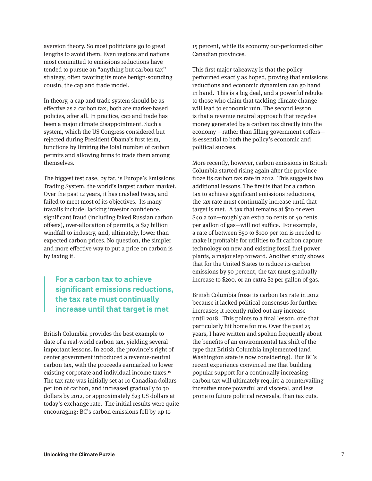aversion theory. So most politicians go to great lengths to avoid them. Even regions and nations most committed to emissions reductions have tended to pursue an "anything but carbon tax" strategy, often favoring its more benign-sounding cousin, the cap and trade model.

In theory, a cap and trade system should be as effective as a carbon tax; both are market-based policies, after all. In practice, cap and trade has been a major climate disappointment. Such a system, which the US Congress considered but rejected during President Obama's first term, functions by limiting the total number of carbon permits and allowing firms to trade them among themselves.

The biggest test case, by far, is Europe's Emissions Trading System, the world's largest carbon market. Over the past 12 years, it has crashed twice, and failed to meet most of its objectives. Its many travails include: lacking investor confidence, significant fraud (including faked Russian carbon offsets), over-allocation of permits, a \$27 billion windfall to industry, and, ultimately, lower than expected carbon prices. No question, the simpler and more effective way to put a price on carbon is by taxing it.

#### **For a carbon tax to achieve significant emissions reductions, the tax rate must continually increase until that target is met**

British Columbia provides the best example to date of a real-world carbon tax, yielding several important lessons. In 2008, the province's right of center government introduced a revenue-neutral carbon tax, with the proceeds earmarked to lower existing corporate and individual income taxes.<sup>10</sup> The tax rate was initially set at 10 Canadian dollars per ton of carbon, and increased gradually to 30 dollars by 2012, or approximately \$23 US dollars at today's exchange rate. The initial results were quite encouraging: BC's carbon emissions fell by up to

15 percent, while its economy out-performed other Canadian provinces.

This first major takeaway is that the policy performed exactly as hoped, proving that emissions reductions and economic dynamism can go hand in hand. This is a big deal, and a powerful rebuke to those who claim that tackling climate change will lead to economic ruin. The second lesson is that a revenue neutral approach that recycles money generated by a carbon tax directly into the economy —rather than filling government coffers is essential to both the policy's economic and political success.

More recently, however, carbon emissions in British Columbia started rising again after the province froze its carbon tax rate in 2012. This suggests two additional lessons. The first is that for a carbon tax to achieve significant emissions reductions, the tax rate must continually increase until that target is met. A tax that remains at \$20 or even \$40 a ton—roughly an extra 20 cents or 40 cents per gallon of gas—will not suffice. For example, a rate of between \$50 to \$100 per ton is needed to make it profitable for utilities to fit carbon capture technology on new and existing fossil fuel power plants, a major step forward. Another study shows that for the United States to reduce its carbon emissions by 50 percent, the tax must gradually increase to \$200, or an extra \$2 per gallon of gas.

British Columbia froze its carbon tax rate in 2012 because it lacked political consensus for further increases; it recently ruled out any increase until 2018. This points to a final lesson, one that particularly hit home for me. Over the past 25 years, I have written and spoken frequently about the benefits of an environmental tax shift of the type that British Columbia implemented (and Washington state is now considering). But BC's recent experience convinced me that building popular support for a continually increasing carbon tax will ultimately require a countervailing incentive more powerful and visceral, and less prone to future political reversals, than tax cuts.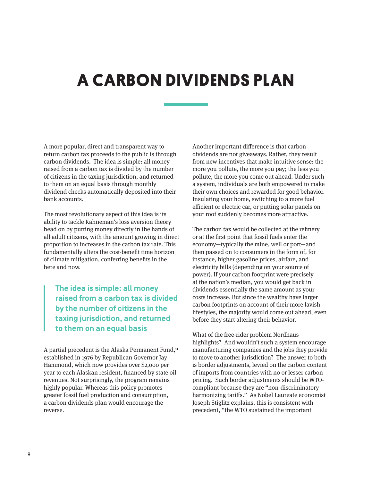# **A CARBON DIVIDENDS PLAN**

A more popular, direct and transparent way to return carbon tax proceeds to the public is through carbon dividends. The idea is simple: all money raised from a carbon tax is divided by the number of citizens in the taxing jurisdiction, and returned to them on an equal basis through monthly dividend checks automatically deposited into their bank accounts.

The most revolutionary aspect of this idea is its ability to tackle Kahneman's loss aversion theory head on by putting money directly in the hands of all adult citizens, with the amount growing in direct proportion to increases in the carbon tax rate. This fundamentally alters the cost-benefit time horizon of climate mitigation, conferring benefits in the here and now.

### **The idea is simple: all money raised from a carbon tax is divided by the number of citizens in the taxing jurisdiction, and returned to them on an equal basis**

A partial precedent is the Alaska Permanent Fund,<sup>11</sup> established in 1976 by Republican Governor Jay Hammond, which now provides over \$2,000 per year to each Alaskan resident, financed by state oil revenues. Not surprisingly, the program remains highly popular. Whereas this policy promotes greater fossil fuel production and consumption, a carbon dividends plan would encourage the reverse.

Another important difference is that carbon dividends are not giveaways. Rather, they result from new incentives that make intuitive sense: the more you pollute, the more you pay; the less you pollute, the more you come out ahead. Under such a system, individuals are both empowered to make their own choices and rewarded for good behavior. Insulating your home, switching to a more fuel efficient or electric car, or putting solar panels on your roof suddenly becomes more attractive.

The carbon tax would be collected at the refinery or at the first point that fossil fuels enter the economy—typically the mine, well or port—and then passed on to consumers in the form of, for instance, higher gasoline prices, airfare, and electricity bills (depending on your source of power). If your carbon footprint were precisely at the nation's median, you would get back in dividends essentially the same amount as your costs increase. But since the wealthy have larger carbon footprints on account of their more lavish lifestyles, the majority would come out ahead, even before they start altering their behavior.

What of the free-rider problem Nordhaus highlights? And wouldn't such a system encourage manufacturing companies and the jobs they provide to move to another jurisdiction? The answer to both is border adjustments, levied on the carbon content of imports from countries with no or lesser carbon pricing. Such border adjustments should be WTOcompliant because they are "non-discriminatory harmonizing tariffs." As Nobel Laureate economist Joseph Stiglitz explains, this is consistent with precedent, "the WTO sustained the important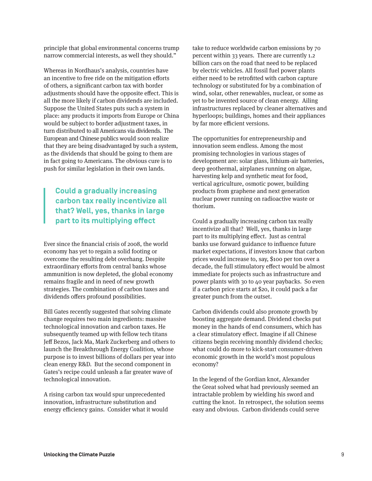principle that global environmental concerns trump narrow commercial interests, as well they should."

Whereas in Nordhaus's analysis, countries have an incentive to free ride on the mitigation efforts of others, a significant carbon tax with border adjustments should have the opposite effect. This is all the more likely if carbon dividends are included. Suppose the United States puts such a system in place: any products it imports from Europe or China would be subject to border adjustment taxes, in turn distributed to all Americans via dividends. The European and Chinese publics would soon realize that they are being disadvantaged by such a system, as the dividends that should be going to them are in fact going to Americans. The obvious cure is to push for similar legislation in their own lands.

#### **Could a gradually increasing carbon tax really incentivize all that? Well, yes, thanks in large part to its multiplying effect**

Ever since the financial crisis of 2008, the world economy has yet to regain a solid footing or overcome the resulting debt overhang. Despite extraordinary efforts from central banks whose ammunition is now depleted, the global economy remains fragile and in need of new growth strategies. The combination of carbon taxes and dividends offers profound possibilities.

Bill Gates recently suggested that solving climate change requires two main ingredients: massive technological innovation and carbon taxes. He subsequently teamed up with fellow tech titans Jeff Bezos, Jack Ma, Mark Zuckerberg and others to launch the Breakthrough Energy Coalition, whose purpose is to invest billions of dollars per year into clean energy R&D. But the second component in Gates's recipe could unleash a far greater wave of technological innovation.

A rising carbon tax would spur unprecedented innovation, infrastructure substitution and energy efficiency gains. Consider what it would take to reduce worldwide carbon emissions by 70 percent within 33 years. There are currently 1.2 billion cars on the road that need to be replaced by electric vehicles. All fossil fuel power plants either need to be retrofitted with carbon capture technology or substituted for by a combination of wind, solar, other renewables, nuclear, or some as yet to be invented source of clean energy. Ailing infrastructures replaced by cleaner alternatives and hyperloops; buildings, homes and their appliances by far more efficient versions.

The opportunities for entrepreneurship and innovation seem endless. Among the most promising technologies in various stages of development are: solar glass, lithium-air batteries, deep geothermal, airplanes running on algae, harvesting kelp and synthetic meat for food, vertical agriculture, osmotic power, building products from graphene and next generation nuclear power running on radioactive waste or thorium.

Could a gradually increasing carbon tax really incentivize all that? Well, yes, thanks in large part to its multiplying effect. Just as central banks use forward guidance to influence future market expectations, if investors know that carbon prices would increase to, say, \$100 per ton over a decade, the full stimulatory effect would be almost immediate for projects such as infrastructure and power plants with 30 to 40 year paybacks. So even if a carbon price starts at \$20, it could pack a far greater punch from the outset.

Carbon dividends could also promote growth by boosting aggregate demand. Dividend checks put money in the hands of end consumers, which has a clear stimulatory effect. Imagine if all Chinese citizens begin receiving monthly dividend checks; what could do more to kick-start consumer-driven economic growth in the world's most populous economy?

In the legend of the Gordian knot, Alexander the Great solved what had previously seemed an intractable problem by wielding his sword and cutting the knot. In retrospect, the solution seems easy and obvious. Carbon dividends could serve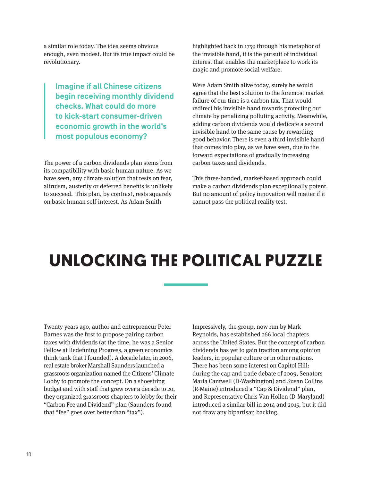a similar role today. The idea seems obvious enough, even modest. But its true impact could be revolutionary.

**Imagine if all Chinese citizens begin receiving monthly dividend checks. What could do more to kick-start consumer-driven economic growth in the world's most populous economy?**

The power of a carbon dividends plan stems from its compatibility with basic human nature. As we have seen, any climate solution that rests on fear, altruism, austerity or deferred benefits is unlikely to succeed. This plan, by contrast, rests squarely on basic human self-interest. As Adam Smith

highlighted back in 1759 through his metaphor of the invisible hand, it is the pursuit of individual interest that enables the marketplace to work its magic and promote social welfare.

Were Adam Smith alive today, surely he would agree that the best solution to the foremost market failure of our time is a carbon tax. That would redirect his invisible hand towards protecting our climate by penalizing polluting activity. Meanwhile, adding carbon dividends would dedicate a second invisible hand to the same cause by rewarding good behavior. There is even a third invisible hand that comes into play, as we have seen, due to the forward expectations of gradually increasing carbon taxes and dividends.

This three-handed, market-based approach could make a carbon dividends plan exceptionally potent. But no amount of policy innovation will matter if it cannot pass the political reality test.

# **UNLOCKING THE POLITICAL PUZZLE**

Twenty years ago, author and entrepreneur Peter Barnes was the first to propose pairing carbon taxes with dividends (at the time, he was a Senior Fellow at Redefining Progress, a green economics think tank that I founded). A decade later, in 2006, real estate broker Marshall Saunders launched a grassroots organization named the Citizens' Climate Lobby to promote the concept. On a shoestring budget and with staff that grew over a decade to 20, they organized grassroots chapters to lobby for their "Carbon Fee and Dividend" plan (Saunders found that "fee" goes over better than "tax").

Impressively, the group, now run by Mark Reynolds, has established 266 local chapters across the United States. But the concept of carbon dividends has yet to gain traction among opinion leaders, in popular culture or in other nations. There has been some interest on Capitol Hill: during the cap and trade debate of 2009, Senators Maria Cantwell (D-Washington) and Susan Collins (R-Maine) introduced a "Cap & Dividend" plan, and Representative Chris Van Hollen (D-Maryland) introduced a similar bill in 2014 and 2015, but it did not draw any bipartisan backing.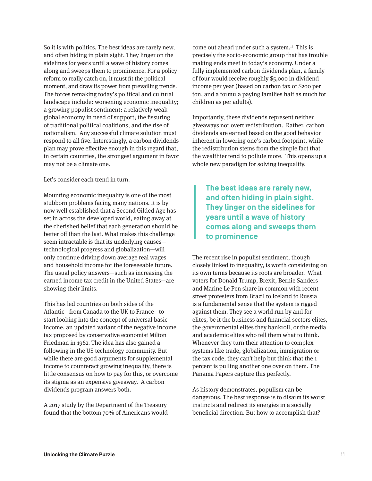So it is with politics. The best ideas are rarely new, and often hiding in plain sight. They linger on the sidelines for years until a wave of history comes along and sweeps them to prominence. For a policy reform to really catch on, it must fit the political moment, and draw its power from prevailing trends. The forces remaking today's political and cultural landscape include: worsening economic inequality; a growing populist sentiment; a relatively weak global economy in need of support; the fissuring of traditional political coalitions; and the rise of nationalism. Any successful climate solution must respond to all five. Interestingly, a carbon dividends plan may prove effective enough in this regard that, in certain countries, the strongest argument in favor may not be a climate one.

Let's consider each trend in turn.

Mounting economic inequality is one of the most stubborn problems facing many nations. It is by now well established that a Second Gilded Age has set in across the developed world, eating away at the cherished belief that each generation should be better off than the last. What makes this challenge seem intractable is that its underlying causes technological progress and globalization—will only continue driving down average real wages and household income for the foreseeable future. The usual policy answers—such as increasing the earned income tax credit in the United States—are showing their limits.

This has led countries on both sides of the Atlantic—from Canada to the UK to France—to start looking into the concept of universal basic income, an updated variant of the negative income tax proposed by conservative economist Milton Friedman in 1962. The idea has also gained a following in the US technology community. But while there are good arguments for supplemental income to counteract growing inequality, there is little consensus on how to pay for this, or overcome its stigma as an expensive giveaway. A carbon dividends program answers both.

A 2017 study by the Department of the Treasury found that the bottom 70% of Americans would come out ahead under such a system.12 This is precisely the socio-economic group that has trouble making ends meet in today's economy. Under a fully implemented carbon dividends plan, a family of four would receive roughly \$5,000 in dividend income per year (based on carbon tax of \$200 per ton, and a formula paying families half as much for children as per adults).

Importantly, these dividends represent neither giveaways nor overt redistribution. Rather, carbon dividends are earned based on the good behavior inherent in lowering one's carbon footprint, while the redistribution stems from the simple fact that the wealthier tend to pollute more. This opens up a whole new paradigm for solving inequality.

**The best ideas are rarely new, and often hiding in plain sight. They linger on the sidelines for years until a wave of history comes along and sweeps them to prominence**

The recent rise in populist sentiment, though closely linked to inequality, is worth considering on its own terms because its roots are broader. What voters for Donald Trump, Brexit, Bernie Sanders and Marine Le Pen share in common with recent street protesters from Brazil to Iceland to Russia is a fundamental sense that the system is rigged against them. They see a world run by and for elites, be it the business and financial sectors elites, the governmental elites they bankroll, or the media and academic elites who tell them what to think. Whenever they turn their attention to complex systems like trade, globalization, immigration or the tax code, they can't help but think that the 1 percent is pulling another one over on them. The Panama Papers capture this perfectly.

As history demonstrates, populism can be dangerous. The best response is to disarm its worst instincts and redirect its energies in a socially beneficial direction. But how to accomplish that?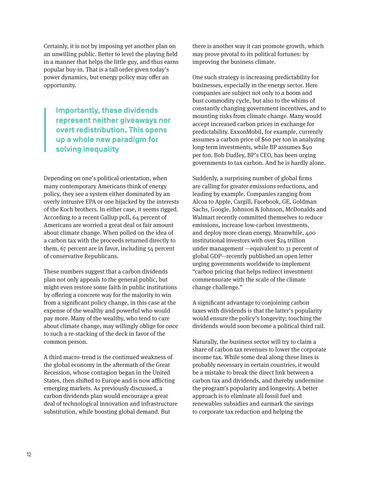Certainly, it is not by imposing yet another plan on an unwilling public. Better to level the playing field in a manner that helps the little guy, and thus earns popular buy-in. That is a tall order given today's power dynamics, but energy policy may offer an opportunity.

**Importantly, these dividends represent neither giveaways nor overt redistribution. This opens up a whole new paradigm for solving inequality**

Depending on one's political orientation, when many contemporary Americans think of energy policy, they see a system either dominated by an overly intrusive EPA or one hijacked by the interests of the Koch brothers. In either case, it seems rigged. According to a recent Gallup poll, 64 percent of Americans are worried a great deal or fair amount about climate change. When polled on the idea of a carbon tax with the proceeds returned directly to them, 67 percent are in favor, including 54 percent of conservative Republicans.

These numbers suggest that a carbon dividends plan not only appeals to the general public, but might even restore some faith in public institutions by offering a concrete way for the majority to win from a significant policy change, in this case at the expense of the wealthy and powerful who would pay more. Many of the wealthy, who tend to care about climate change, may willingly oblige for once to such a re-stacking of the deck in favor of the common person.

A third macro-trend is the continued weakness of the global economy in the aftermath of the Great Recession, whose contagion began in the United States, then shifted to Europe and is now afflicting emerging markets. As previously discussed, a carbon dividends plan would encourage a great deal of technological innovation and infrastructure substitution, while boosting global demand. But

there is another way it can promote growth, which may prove pivotal to its political fortunes: by improving the business climate.

One such strategy is increasing predictability for businesses, especially in the energy sector. Here companies are subject not only to a boom and bust commodity cycle, but also to the whims of constantly changing government incentives, and to mounting risks from climate change. Many would accept increased carbon prices in exchange for predictability. ExxonMobil, for example, currently assumes a carbon price of \$60 per ton in analyzing long-term investments, while BP assumes \$40 per ton. Bob Dudley, BP's CEO, has been urging governments to tax carbon. And he is hardly alone.

Suddenly, a surprising number of global firms are calling for greater emissions reductions, and leading by example. Companies ranging from Alcoa to Apple, Cargill, Facebook, GE, Goldman Sachs, Google, Johnson & Johnson, McDonalds and Walmart recently committed themselves to reduce emissions, increase low-carbon investments, and deploy more clean energy. Meanwhile, 400 institutional investors with over \$24 trillion under management —equivalent to 31 percent of global GDP—recently published an open letter urging governments worldwide to implement "carbon pricing that helps redirect investment commensurate with the scale of the climate change challenge."

A significant advantage to conjoining carbon taxes with dividends is that the latter's popularity would ensure the policy's longevity; touching the dividends would soon become a political third rail.

Naturally, the business sector will try to claim a share of carbon tax revenues to lower the corporate income tax. While some deal along these lines is probably necessary in certain countries, it would be a mistake to break the direct link between a carbon tax and dividends, and thereby undermine the program's popularity and longevity. A better approach is to eliminate all fossil fuel and renewables subsidies and earmark the savings to corporate tax reduction and helping the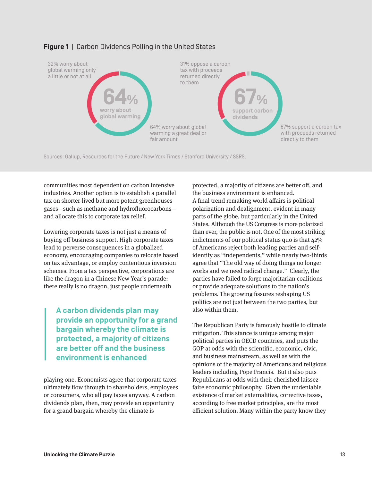

#### **Figure 1** | Carbon Dividends Polling in the United States

Sources: Gallup, Resources for the Future / New York Times / Stanford University / SSRS.

communities most dependent on carbon intensive industries. Another option is to establish a parallel tax on shorter-lived but more potent greenhouses gases—such as methane and hydrofluorocarbons and allocate this to corporate tax relief.

Lowering corporate taxes is not just a means of buying off business support. High corporate taxes lead to perverse consequences in a globalized economy, encouraging companies to relocate based on tax advantage, or employ contentious inversion schemes. From a tax perspective, corporations are like the dragon in a Chinese New Year's parade: there really is no dragon, just people underneath

**A carbon dividends plan may provide an opportunity for a grand bargain whereby the climate is protected, a majority of citizens are better off and the business environment is enhanced**

playing one. Economists agree that corporate taxes ultimately flow through to shareholders, employees or consumers, who all pay taxes anyway. A carbon dividends plan, then, may provide an opportunity for a grand bargain whereby the climate is

protected, a majority of citizens are better off, and the business environment is enhanced. A final trend remaking world affairs is political polarization and dealignment, evident in many parts of the globe, but particularly in the United States. Although the US Congress is more polarized than ever, the public is not. One of the most striking indictments of our political status quo is that 42% of Americans reject both leading parties and selfidentify as "independents," while nearly two-thirds agree that "The old way of doing things no longer works and we need radical change." Clearly, the parties have failed to forge majoritarian coalitions or provide adequate solutions to the nation's problems. The growing fissures reshaping US politics are not just between the two parties, but also within them.

The Republican Party is famously hostile to climate mitigation. This stance is unique among major political parties in OECD countries, and puts the GOP at odds with the scientific, economic, civic, and business mainstream, as well as with the opinions of the majority of Americans and religious leaders including Pope Francis. But it also puts Republicans at odds with their cherished laissezfaire economic philosophy. Given the undeniable existence of market externalities, corrective taxes, according to free market principles, are the most efficient solution. Many within the party know they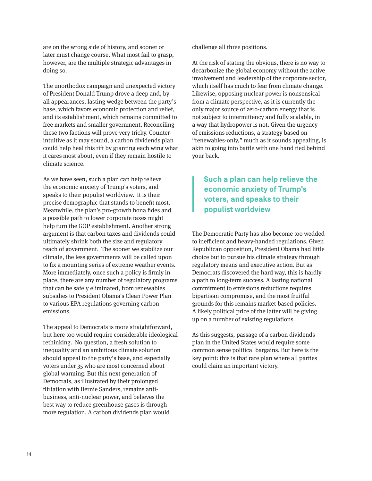are on the wrong side of history, and sooner or later must change course. What most fail to grasp, however, are the multiple strategic advantages in doing so.

The unorthodox campaign and unexpected victory of President Donald Trump drove a deep and, by all appearances, lasting wedge between the party's base, which favors economic protection and relief, and its establishment, which remains committed to free markets and smaller government. Reconciling these two factions will prove very tricky. Counterintuitive as it may sound, a carbon dividends plan could help heal this rift by granting each wing what it cares most about, even if they remain hostile to climate science.

As we have seen, such a plan can help relieve the economic anxiety of Trump's voters, and speaks to their populist worldview. It is their precise demographic that stands to benefit most. Meanwhile, the plan's pro-growth bona fides and a possible path to lower corporate taxes might help turn the GOP establishment. Another strong argument is that carbon taxes and dividends could ultimately shrink both the size and regulatory reach of government. The sooner we stabilize our climate, the less governments will be called upon to fix a mounting series of extreme weather events. More immediately, once such a policy is firmly in place, there are any number of regulatory programs that can be safely eliminated, from renewables subsidies to President Obama's Clean Power Plan to various EPA regulations governing carbon emissions.

The appeal to Democrats is more straightforward, but here too would require considerable ideological rethinking. No question, a fresh solution to inequality and an ambitious climate solution should appeal to the party's base, and especially voters under 35 who are most concerned about global warming. But this next generation of Democrats, as illustrated by their prolonged flirtation with Bernie Sanders, remains antibusiness, anti-nuclear power, and believes the best way to reduce greenhouse gases is through more regulation. A carbon dividends plan would

challenge all three positions.

At the risk of stating the obvious, there is no way to decarbonize the global economy without the active involvement and leadership of the corporate sector, which itself has much to fear from climate change. Likewise, opposing nuclear power is nonsensical from a climate perspective, as it is currently the only major source of zero-carbon energy that is not subject to intermittency and fully scalable, in a way that hydropower is not. Given the urgency of emissions reductions, a strategy based on "renewables-only," much as it sounds appealing, is akin to going into battle with one hand tied behind your back.

### **Such a plan can help relieve the economic anxiety of Trump's voters, and speaks to their populist worldview**

The Democratic Party has also become too wedded to inefficient and heavy-handed regulations. Given Republican opposition, President Obama had little choice but to pursue his climate strategy through regulatory means and executive action. But as Democrats discovered the hard way, this is hardly a path to long-term success. A lasting national commitment to emissions reductions requires bipartisan compromise, and the most fruitful grounds for this remains market-based policies. A likely political price of the latter will be giving up on a number of existing regulations.

As this suggests, passage of a carbon dividends plan in the United States would require some common sense political bargains. But here is the key point: this is that rare plan where all parties could claim an important victory.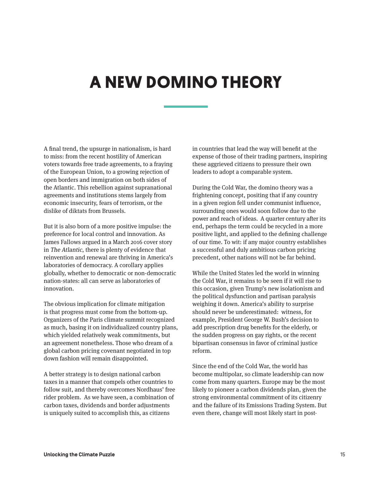# **A NEW DOMINO THEORY**

A final trend, the upsurge in nationalism, is hard to miss: from the recent hostility of American voters towards free trade agreements, to a fraying of the European Union, to a growing rejection of open borders and immigration on both sides of the Atlantic. This rebellion against supranational agreements and institutions stems largely from economic insecurity, fears of terrorism, or the dislike of diktats from Brussels.

But it is also born of a more positive impulse: the preference for local control and innovation. As James Fallows argued in a March 2016 cover story in The Atlantic, there is plenty of evidence that reinvention and renewal are thriving in America's laboratories of democracy. A corollary applies globally, whether to democratic or non-democratic nation-states: all can serve as laboratories of innovation.

The obvious implication for climate mitigation is that progress must come from the bottom-up. Organizers of the Paris climate summit recognized as much, basing it on individualized country plans, which yielded relatively weak commitments, but an agreement nonetheless. Those who dream of a global carbon pricing covenant negotiated in top down fashion will remain disappointed.

A better strategy is to design national carbon taxes in a manner that compels other countries to follow suit, and thereby overcomes Nordhaus' free rider problem. As we have seen, a combination of carbon taxes, dividends and border adjustments is uniquely suited to accomplish this, as citizens

in countries that lead the way will benefit at the expense of those of their trading partners, inspiring these aggrieved citizens to pressure their own leaders to adopt a comparable system.

During the Cold War, the domino theory was a frightening concept, positing that if any country in a given region fell under communist influence, surrounding ones would soon follow due to the power and reach of ideas. A quarter century after its end, perhaps the term could be recycled in a more positive light, and applied to the defining challenge of our time. To wit: if any major country establishes a successful and duly ambitious carbon pricing precedent, other nations will not be far behind.

While the United States led the world in winning the Cold War, it remains to be seen if it will rise to this occasion, given Trump's new isolationism and the political dysfunction and partisan paralysis weighing it down. America's ability to surprise should never be underestimated: witness, for example, President George W. Bush's decision to add prescription drug benefits for the elderly, or the sudden progress on gay rights, or the recent bipartisan consensus in favor of criminal justice reform.

Since the end of the Cold War, the world has become multipolar, so climate leadership can now come from many quarters. Europe may be the most likely to pioneer a carbon dividends plan, given the strong environmental commitment of its citizenry and the failure of its Emissions Trading System. But even there, change will most likely start in post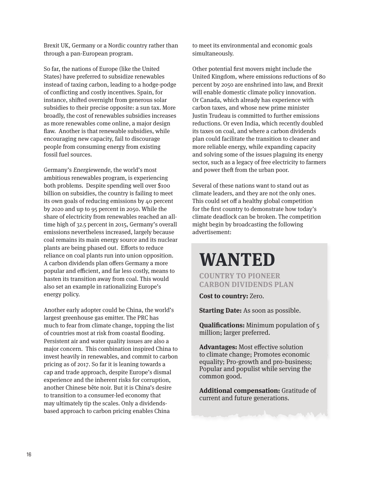Brexit UK, Germany or a Nordic country rather than through a pan-European program.

So far, the nations of Europe (like the United States) have preferred to subsidize renewables instead of taxing carbon, leading to a hodge-podge of conflicting and costly incentives. Spain, for instance, shifted overnight from generous solar subsidies to their precise opposite: a sun tax. More broadly, the cost of renewables subsidies increases as more renewables come online, a major design flaw. Another is that renewable subsidies, while encouraging new capacity, fail to discourage people from consuming energy from existing fossil fuel sources.

Germany's Energiewende, the world's most ambitious renewables program, is experiencing both problems. Despite spending well over \$100 billion on subsidies, the country is failing to meet its own goals of reducing emissions by 40 percent by 2020 and up to 95 percent in 2050. While the share of electricity from renewables reached an alltime high of 32.5 percent in 2015, Germany's overall emissions nevertheless increased, largely because coal remains its main energy source and its nuclear plants are being phased out. Efforts to reduce reliance on coal plants run into union opposition. A carbon dividends plan offers Germany a more popular and efficient, and far less costly, means to hasten its transition away from coal. This would also set an example in rationalizing Europe's energy policy.

Another early adopter could be China, the world's largest greenhouse gas emitter. The PRC has much to fear from climate change, topping the list of countries most at risk from coastal flooding. Persistent air and water quality issues are also a major concern. This combination inspired China to invest heavily in renewables, and commit to carbon pricing as of 2017. So far it is leaning towards a cap and trade approach, despite Europe's dismal experience and the inherent risks for corruption, another Chinese bête noir. But it is China's desire to transition to a consumer-led economy that may ultimately tip the scales. Only a dividendsbased approach to carbon pricing enables China

to meet its environmental and economic goals simultaneously.

Other potential first movers might include the United Kingdom, where emissions reductions of 80 percent by 2050 are enshrined into law, and Brexit will enable domestic climate policy innovation. Or Canada, which already has experience with carbon taxes, and whose new prime minister Justin Trudeau is committed to further emissions reductions. Or even India, which recently doubled its taxes on coal, and where a carbon dividends plan could facilitate the transition to cleaner and more reliable energy, while expanding capacity and solving some of the issues plaguing its energy sector, such as a legacy of free electricity to farmers and power theft from the urban poor.

Several of these nations want to stand out as climate leaders, and they are not the only ones. This could set off a healthy global competition for the first country to demonstrate how today's climate deadlock can be broken. The competition might begin by broadcasting the following advertisement:

### **WANTED**

**COUNTRY TO PIONEER CARBON DIVIDENDS PLAN**

**Cost to country:** Zero.

**Starting Date:** As soon as possible.

**Qualifications:** Minimum population of 5 million; larger preferred.

**Advantages:** Most effective solution to climate change; Promotes economic equality; Pro-growth and pro-business; Popular and populist while serving the common good.

**Additional compensation:** Gratitude of current and future generations.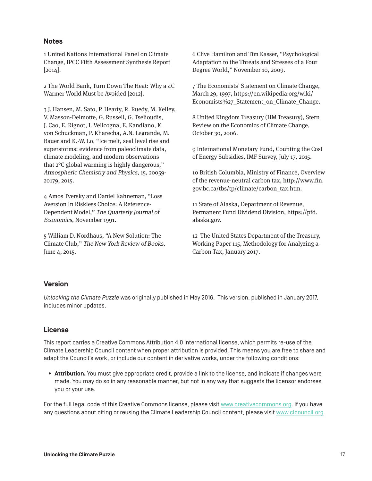#### **Notes**

1 United Nations International Panel on Climate Change, IPCC Fifth Assessment Synthesis Report [2014].

2 The World Bank, Turn Down The Heat: Why a 4C Warmer World Must be Avoided [2012].

3 J. Hansen, M. Sato, P. Hearty, R. Ruedy, M. Kelley, V. Masson-Delmotte, G. Russell, G. Tselioudis, J. Cao, E. Rignot, I. Velicogna, E. Kandiano, K. von Schuckman, P. Kharecha, A.N. Legrande, M. Bauer and K.-W. Lo, "Ice melt, seal level rise and superstorms: evidence from paleoclimate data, climate modeling, and modern observations that 2°C global warming is highly dangerous," Atmospheric Chemistry and Physics, 15, 20059- 20179, 2015.

4 Amos Tversky and Daniel Kahneman, "Loss Aversion In Riskless Choice: A Reference-Dependent Model," The Quarterly Journal of Economics, November 1991.

5 William D. Nordhaus, "A New Solution: The Climate Club," The New York Review of Books, June 4, 2015. June 4, 2015. **Was also assumed to the Carbon Tax**, January 2017.

6 Clive Hamilton and Tim Kasser, "Psychological Adaptation to the Threats and Stresses of a Four Degree World," November 10, 2009.

7 The Economists' Statement on Climate Change, March 29, 1997, https://en.wikipedia.org/wiki/ Economists%27\_Statement\_on\_Climate\_Change.

8 United Kingdom Treasury (HM Treasury), Stern Review on the Economics of Climate Change, October 30, 2006.

9 International Monetary Fund, Counting the Cost of Energy Subsidies, IMF Survey, July 17, 2015.

10 British Columbia, Ministry of Finance, Overview of the revenue-neutral carbon tax, http://www.fin. gov.bc.ca/tbs/tp/climate/carbon\_tax.htm.

11 State of Alaska, Department of Revenue, Permanent Fund Dividend Division, https://pfd. alaska.gov.

12 The United States Department of the Treasury, Working Paper 115, Methodology for Analyzing a

#### **Version**

*Unlocking the Climate Puzzle* was originally published in May 2016. This version, published in January 2017, includes minor updates.

### **. License**

This report carries a Creative Commons Attribution 4.0 International license, which permits re-use of the Climate Leadership Council content when proper attribution is provided. This means you are free to share and adapt the Council's work, or include our content in derivative works, under the following conditions:

**• Attribution.** You must give appropriate credit, provide a link to the license, and indicate if changes were made. You may do so in any reasonable manner, but not in any way that suggests the licensor endorses you or your use.

For the full legal code of this Creative Commons license, please visit www.creativecommons.org. If you have any questions about citing or reusing the Climate Leadership Council content, please visit www.clcouncil.org.